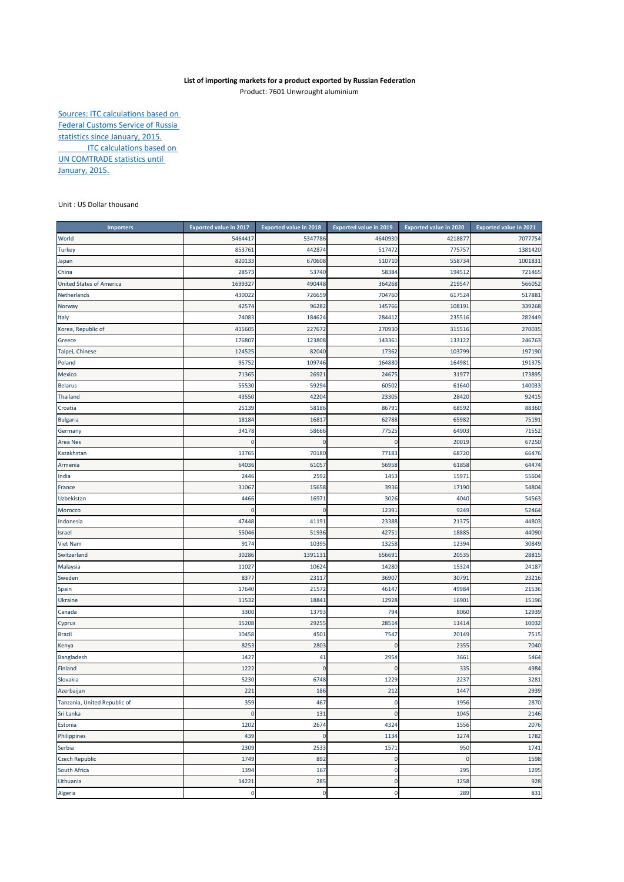## **List of importing markets for a product exported by Russian Federation**

Product: 7601 Unwrought aluminium

Sources: ITC calculations based on Federal Customs Service of Russia statistics since January, 2015. **ITC calculations based on** UN COMTRADE statistics until January, 2015.

Unit : US Dollar thousand

| <b>Importers</b>                | <b>Exported value in 2017</b> | <b>Exported value in 2018</b> | <b>Exported value in 2019</b> | <b>Exported value in 2020</b> | <b>Exported value in 2021</b> |
|---------------------------------|-------------------------------|-------------------------------|-------------------------------|-------------------------------|-------------------------------|
| World                           | 5464417                       | 5347786                       | 4640930                       | 4218877                       | 7077754                       |
| <b>Turkey</b>                   | 853761                        | 442874                        | 517472                        | 775757                        | 1381420                       |
| Japan                           | 820133                        | 670608                        | 510710                        | 558734                        | 1001831                       |
| China                           | 28573                         | 53740                         | 58384                         | 194512                        | 721465                        |
| <b>United States of America</b> | 1699327                       | 490448                        | 364268                        | 219547                        | 566052                        |
| Netherlands                     | 430022                        | 726659                        | 704760                        | 617524                        | 517881                        |
| Norway                          | 42574                         | 96282                         | 145766                        | 108191                        | 339268                        |
| Italy                           | 74083                         | 184624                        | 284412                        | 235516                        | 282449                        |
| Korea, Republic of              | 415605                        | 227672                        | 270930                        | 315516                        | 270035                        |
| Greece                          | 176807                        | 123808                        | 143361                        | 133122                        | 246763                        |
| Taipei, Chinese                 | 124525                        | 82040                         | 17362                         | 103799                        | 197190                        |
| Poland                          | 95752                         | 109746                        | 164880                        | 164981                        | 191375                        |
| Mexico                          | 71365                         | 26921                         | 24675                         | 31977                         | 173895                        |
| <b>Belarus</b>                  | 55530                         | 59294                         | 60502                         | 61640                         | 140033                        |
| <b>Thailand</b>                 | 43550                         | 42204                         | 23305                         | 28420                         | 92415                         |
| Croatia                         | 25139                         | 58186                         | 86791                         | 68592                         | 88360                         |
| <b>Bulgaria</b>                 | 18184                         | 16817                         | 62788                         | 65982                         | 75191                         |
| Germany                         | 34178                         | 58666                         | 77525                         | 64903                         | 71552                         |
| Area Nes                        | $\mathbf 0$                   | $\mathbf 0$                   | $\Omega$                      | 20019                         | 67250                         |
| Kazakhstan                      | 13765                         | 70180                         | 77183                         | 68720                         | 66476                         |
| Armenia                         | 64036                         | 61057                         | 56958                         | 61858                         | 64474                         |
| India                           | 2446                          | 2592                          | 1453                          | 1597                          | 55604                         |
| France                          | 31067                         | 15658                         | 3936                          | 17190                         | 54804                         |
| Uzbekistan                      | 4466                          | 16971                         | 3026                          | 4040                          | 54563                         |
| Morocco                         | $\mathbf 0$                   | $\mathbf{0}$                  | 12391                         | 9249                          | 52464                         |
| Indonesia                       | 47448                         | 41191                         | 23388                         | 21375                         | 44803                         |
| Israel                          | 55046                         | 51936                         | 42751                         | 18885                         | 44090                         |
| Viet Nam                        | 9174                          | 10395                         | 13258                         | 12394                         | 30849                         |
| Switzerland                     | 30286                         | 1391131                       | 656691                        | 20535                         | 28815                         |
| Malaysia                        | 11027                         | 10624                         | 14280                         | 15324                         | 24187                         |
| Sweden                          | 8377                          | 23117                         | 36907                         | 30791                         | 23216                         |
| Spain                           | 17640                         | 21572                         | 46147                         | 49984                         | 21536                         |
| <b>Ukraine</b>                  | 11532                         | 18841                         | 12928                         | 16901                         | 15196                         |
| Canada                          | 3300                          | 13793                         | 794                           | 8060                          | 12939                         |
| Cyprus                          | 15208                         | 29255                         | 28514                         | 11414                         | 10032                         |
| <b>Brazil</b>                   | 10458                         | 4501                          | 7547                          | 20149                         | 7515                          |
| Kenya                           | 8253                          | 2803                          |                               | 2355                          | 7040                          |
| Bangladesh                      | 1427                          | 41                            | 2954                          | 3661                          | 5464                          |
| Finland                         | 1222                          | $\mathbf{0}$                  |                               | 335                           | 4984                          |
| Slovakia                        | 5230                          | 6748                          | 1229                          | 2237                          | 3281                          |
| Azerbaijan                      | 221                           | 186                           | 212                           | 1447                          | 2939                          |
| Tanzania, United Republic of    | 359                           | 467                           | 0                             | 1956                          | 2870                          |
| Sri Lanka                       | $\mathbf 0$                   | 131                           | $\mathbf 0$                   | 1045                          | 2146                          |
| Estonia                         | 1202                          | 2674                          | 4324                          | 1556                          | 2076                          |
| Philippines                     | 439                           | $\pmb{0}$                     | 1134                          | 1274                          | 1782                          |
| Serbia                          | 2309                          | 2533                          | 1571                          | 950                           | 1741                          |
| <b>Czech Republic</b>           | 1749                          | 892                           | 0                             | 0                             | 1598                          |
| South Africa                    | 1394                          | 167                           | 0                             | 295                           | 1295                          |
| Lithuania                       | 14221                         | 285                           | $\mathbf 0$                   | 1258                          | 928                           |
| Algeria                         | $\mathbf 0$                   | $\mathbf 0$                   | $\mathbf 0$                   | 289                           | 831                           |